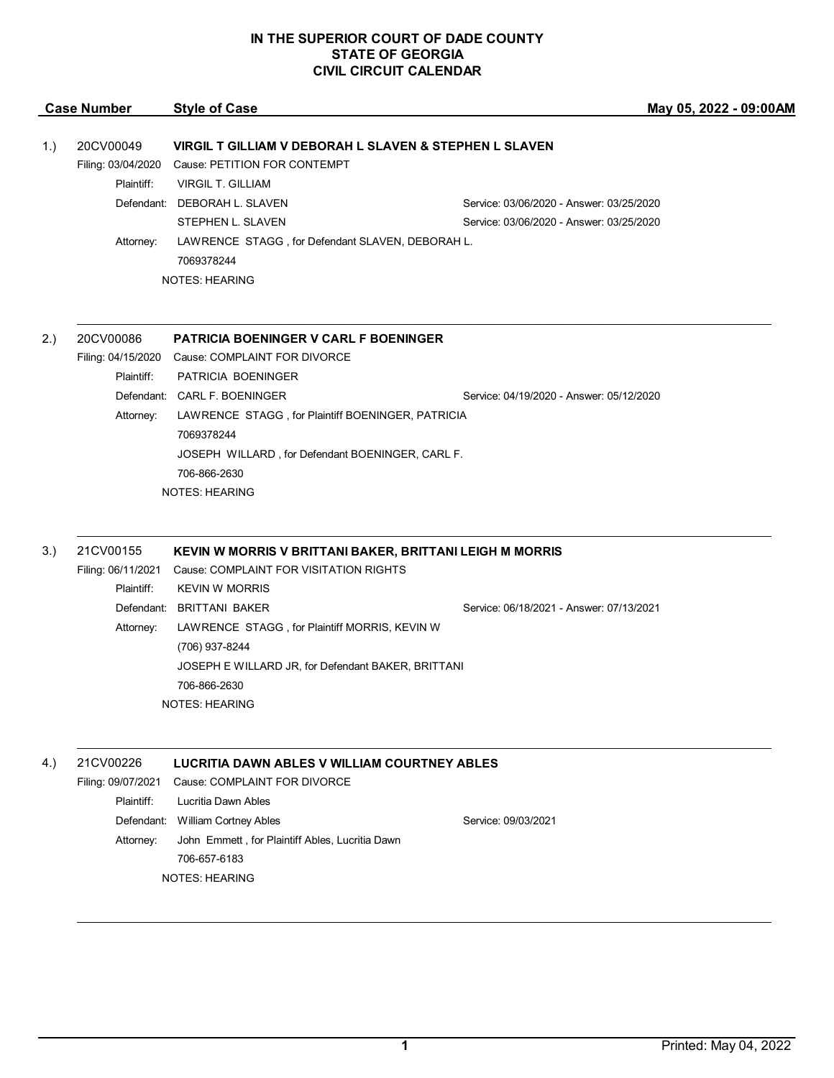## **IN THE SUPERIOR COURT OF DADE COUNTY STATE OF GEORGIA CIVIL CIRCUIT CALENDAR**

| <b>Case Number</b> |                                 | <b>Style of Case</b>                                                                   | May 05, 2022 - 09:00AM                   |  |
|--------------------|---------------------------------|----------------------------------------------------------------------------------------|------------------------------------------|--|
| 1.)                | 20CV00049<br>Filing: 03/04/2020 | VIRGIL T GILLIAM V DEBORAH L SLAVEN & STEPHEN L SLAVEN<br>Cause: PETITION FOR CONTEMPT |                                          |  |
|                    | Plaintiff:                      | <b>VIRGIL T. GILLIAM</b>                                                               |                                          |  |
|                    |                                 | Defendant: DEBORAH L. SLAVEN                                                           | Service: 03/06/2020 - Answer: 03/25/2020 |  |
|                    |                                 | STEPHEN L. SLAVEN                                                                      | Service: 03/06/2020 - Answer: 03/25/2020 |  |
|                    | Attorney:                       | LAWRENCE STAGG, for Defendant SLAVEN, DEBORAH L.                                       |                                          |  |
|                    |                                 | 7069378244                                                                             |                                          |  |
|                    |                                 | <b>NOTES: HEARING</b>                                                                  |                                          |  |
| 2.)                | 20CV00086<br>Filing: 04/15/2020 | <b>PATRICIA BOENINGER V CARL F BOENINGER</b><br>Cause: COMPLAINT FOR DIVORCE           |                                          |  |
|                    | Plaintiff:                      | PATRICIA BOENINGER                                                                     |                                          |  |
|                    |                                 | Defendant: CARL F. BOENINGER                                                           | Service: 04/19/2020 - Answer: 05/12/2020 |  |
|                    | Attorney:                       | LAWRENCE STAGG, for Plaintiff BOENINGER, PATRICIA                                      |                                          |  |
|                    |                                 | 7069378244                                                                             |                                          |  |
|                    |                                 | JOSEPH WILLARD, for Defendant BOENINGER, CARL F.                                       |                                          |  |
|                    |                                 | 706-866-2630                                                                           |                                          |  |
|                    |                                 | <b>NOTES: HEARING</b>                                                                  |                                          |  |
|                    |                                 |                                                                                        |                                          |  |
| 3.)                | 21CV00155                       | KEVIN W MORRIS V BRITTANI BAKER, BRITTANI LEIGH M MORRIS                               |                                          |  |
|                    | Filing: 06/11/2021              | Cause: COMPLAINT FOR VISITATION RIGHTS                                                 |                                          |  |
|                    | Plaintiff:                      | <b>KEVIN W MORRIS</b>                                                                  |                                          |  |
|                    | Defendant:                      | BRITTANI BAKER                                                                         | Service: 06/18/2021 - Answer: 07/13/2021 |  |
|                    | Attorney:                       | LAWRENCE STAGG, for Plaintiff MORRIS, KEVIN W                                          |                                          |  |
|                    |                                 | (706) 937-8244                                                                         |                                          |  |
|                    |                                 | JOSEPH E WILLARD JR, for Defendant BAKER, BRITTANI                                     |                                          |  |
|                    |                                 | 706-866-2630                                                                           |                                          |  |
|                    |                                 | <b>NOTES: HEARING</b>                                                                  |                                          |  |
| 4.)                | 21CV00226                       | <b>LUCRITIA DAWN ABLES V WILLIAM COURTNEY ABLES</b>                                    |                                          |  |
|                    | Filing: 09/07/2021              | Cause: COMPLAINT FOR DIVORCE                                                           |                                          |  |
|                    | Plaintiff:                      | Lucritia Dawn Ables                                                                    |                                          |  |
|                    | Defendant:                      | William Cortney Ables                                                                  | Service: 09/03/2021                      |  |
|                    | Attorney:                       | John Emmett, for Plaintiff Ables, Lucritia Dawn                                        |                                          |  |

 $\mathcal{L}_\mathcal{L} = \mathcal{L}_\mathcal{L} = \mathcal{L}_\mathcal{L} = \mathcal{L}_\mathcal{L} = \mathcal{L}_\mathcal{L} = \mathcal{L}_\mathcal{L} = \mathcal{L}_\mathcal{L} = \mathcal{L}_\mathcal{L} = \mathcal{L}_\mathcal{L} = \mathcal{L}_\mathcal{L} = \mathcal{L}_\mathcal{L} = \mathcal{L}_\mathcal{L} = \mathcal{L}_\mathcal{L} = \mathcal{L}_\mathcal{L} = \mathcal{L}_\mathcal{L} = \mathcal{L}_\mathcal{L} = \mathcal{L}_\mathcal{L}$ 

706-657-6183 NOTES: HEARING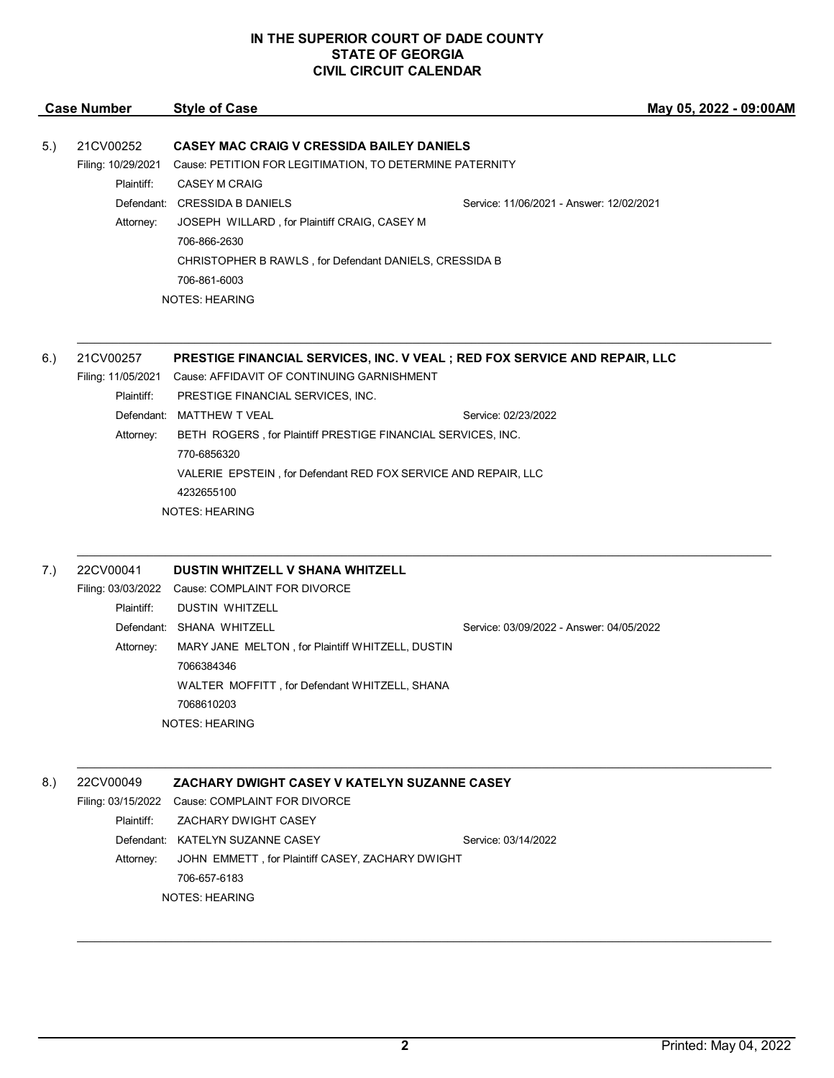### **IN THE SUPERIOR COURT OF DADE COUNTY STATE OF GEORGIA CIVIL CIRCUIT CALENDAR**

| <b>Case Number</b> |                        | <b>Style of Case</b>                                     | May 05, 2022 - 09:00AM                   |
|--------------------|------------------------|----------------------------------------------------------|------------------------------------------|
|                    |                        |                                                          |                                          |
| 5.                 | 21CV00252              | <b>CASEY MAC CRAIG V CRESSIDA BAILEY DANIELS</b>         |                                          |
|                    | Filing: 10/29/2021     | Cause: PETITION FOR LEGITIMATION, TO DETERMINE PATERNITY |                                          |
|                    | Plaintiff:             | <b>CASEY M CRAIG</b>                                     |                                          |
|                    | Defendant <sup>.</sup> | <b>CRESSIDA B DANIELS</b>                                | Service: 11/06/2021 - Answer: 12/02/2021 |
|                    | Attorney:              | JOSEPH WILLARD, for Plaintiff CRAIG, CASEY M             |                                          |
|                    |                        | 706-866-2630                                             |                                          |
|                    |                        | CHRISTOPHER B RAWLS, for Defendant DANIELS, CRESSIDA B   |                                          |
|                    |                        | 706-861-6003                                             |                                          |
|                    |                        | <b>NOTES: HEARING</b>                                    |                                          |

 $\mathcal{L}_\mathcal{L} = \mathcal{L}_\mathcal{L} = \mathcal{L}_\mathcal{L} = \mathcal{L}_\mathcal{L} = \mathcal{L}_\mathcal{L} = \mathcal{L}_\mathcal{L} = \mathcal{L}_\mathcal{L} = \mathcal{L}_\mathcal{L} = \mathcal{L}_\mathcal{L} = \mathcal{L}_\mathcal{L} = \mathcal{L}_\mathcal{L} = \mathcal{L}_\mathcal{L} = \mathcal{L}_\mathcal{L} = \mathcal{L}_\mathcal{L} = \mathcal{L}_\mathcal{L} = \mathcal{L}_\mathcal{L} = \mathcal{L}_\mathcal{L}$ 

 $\mathcal{L}_\mathcal{L} = \mathcal{L}_\mathcal{L} = \mathcal{L}_\mathcal{L} = \mathcal{L}_\mathcal{L} = \mathcal{L}_\mathcal{L} = \mathcal{L}_\mathcal{L} = \mathcal{L}_\mathcal{L} = \mathcal{L}_\mathcal{L} = \mathcal{L}_\mathcal{L} = \mathcal{L}_\mathcal{L} = \mathcal{L}_\mathcal{L} = \mathcal{L}_\mathcal{L} = \mathcal{L}_\mathcal{L} = \mathcal{L}_\mathcal{L} = \mathcal{L}_\mathcal{L} = \mathcal{L}_\mathcal{L} = \mathcal{L}_\mathcal{L}$ 

\_\_\_\_\_\_\_\_\_\_\_\_\_\_\_\_\_\_\_\_\_\_\_\_\_\_\_\_\_\_\_\_\_\_\_\_\_\_\_\_\_\_\_\_\_\_\_\_\_\_\_\_\_\_\_\_\_\_\_\_\_\_\_\_\_\_\_\_\_\_\_\_\_\_\_\_\_\_\_\_\_\_\_\_\_\_\_\_\_\_\_\_\_\_\_\_\_\_\_\_\_\_\_\_\_\_\_\_\_\_\_\_\_\_\_\_\_\_

 $\mathcal{L}_\mathcal{L} = \mathcal{L}_\mathcal{L} = \mathcal{L}_\mathcal{L} = \mathcal{L}_\mathcal{L} = \mathcal{L}_\mathcal{L} = \mathcal{L}_\mathcal{L} = \mathcal{L}_\mathcal{L} = \mathcal{L}_\mathcal{L} = \mathcal{L}_\mathcal{L} = \mathcal{L}_\mathcal{L} = \mathcal{L}_\mathcal{L} = \mathcal{L}_\mathcal{L} = \mathcal{L}_\mathcal{L} = \mathcal{L}_\mathcal{L} = \mathcal{L}_\mathcal{L} = \mathcal{L}_\mathcal{L} = \mathcal{L}_\mathcal{L}$ 

#### 6.) 21CV00257 **PRESTIGE FINANCIAL SERVICES, INC. V VEAL ; RED FOX SERVICE AND REPAIR, LLC**

Filing: 11/05/2021 Cause: AFFIDAVIT OF CONTINUING GARNISHMENT Plaintiff: PRESTIGE FINANCIAL SERVICES, INC. Defendant: MATTHEW T VEAL Service: 02/23/2022 Attorney: BETH ROGERS , for Plaintiff PRESTIGE FINANCIAL SERVICES, INC. 770-6856320 VALERIE EPSTEIN , for Defendant RED FOX SERVICE AND REPAIR, LLC 4232655100 NOTES: HEARING

#### 7.) 22CV00041 **DUSTIN WHITZELL V SHANA WHITZELL**

Filing: 03/03/2022 Cause: COMPLAINT FOR DIVORCE Plaintiff: DUSTIN WHITZELL Defendant: SHANA WHITZELL SERVICE: 03/09/2022 - Answer: 04/05/2022 Attorney: MARY JANE MELTON , for Plaintiff WHITZELL, DUSTIN 7066384346 WALTER MOFFITT , for Defendant WHITZELL, SHANA 7068610203 NOTES: HEARING

8.) 22CV00049 **ZACHARY DWIGHT CASEY V KATELYN SUZANNE CASEY** Filing: 03/15/2022 Cause: COMPLAINT FOR DIVORCE Plaintiff: ZACHARY DWIGHT CASEY Defendant: KATELYN SUZANNE CASEY Service: 03/14/2022 Attorney: JOHN EMMETT , for Plaintiff CASEY, ZACHARY DWIGHT 706-657-6183 NOTES: HEARING